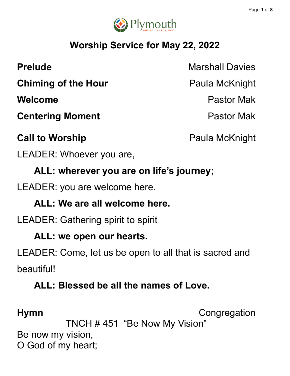

# **Worship Service for May 22, 2022**

**Chiming of the Hour** Paula McKnight

**Centering Moment Centering Moment** 

**Call to Worship Call to Worship Paula McKnight** 

**Prelude** Marshall Davies

**Welcome** Pastor Mak

LEADER: Whoever you are,

**ALL: wherever you are on life's journey;**

LEADER: you are welcome here.

**ALL: We are all welcome here.**

LEADER: Gathering spirit to spirit

**ALL: we open our hearts.**

LEADER: Come, let us be open to all that is sacred and beautiful!

# **ALL: Blessed be all the names of Love.**

**Hymn** Congregation

TNCH # 451 "Be Now My Vision" Be now my vision,

O God of my heart;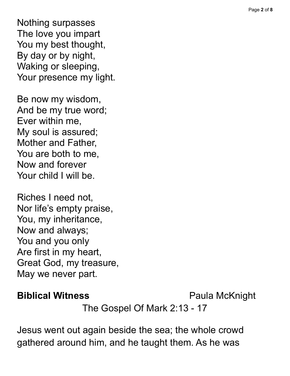Nothing surpasses The love you impart You my best thought, By day or by night, Waking or sleeping, Your presence my light.

Be now my wisdom, And be my true word; Ever within me, My soul is assured; Mother and Father, You are both to me, Now and forever Your child I will be.

Riches I need not, Nor life's empty praise, You, my inheritance, Now and always; You and you only Are first in my heart, Great God, my treasure, May we never part.

# **Biblical Witness** Paula McKnight

The Gospel Of Mark 2:13 - 17

Jesus went out again beside the sea; the whole crowd gathered around him, and he taught them. As he was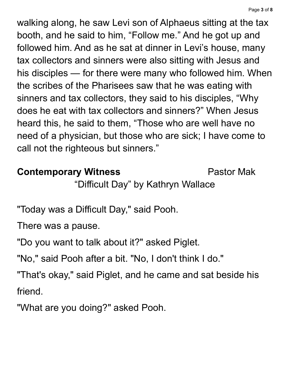walking along, he saw Levi son of Alphaeus sitting at the tax booth, and he said to him, "Follow me." And he got up and followed him. And as he sat at dinner in Levi's house, many tax collectors and sinners were also sitting with Jesus and his disciples — for there were many who followed him. When the scribes of the Pharisees saw that he was eating with sinners and tax collectors, they said to his disciples, "Why does he eat with tax collectors and sinners?" When Jesus heard this, he said to them, "Those who are well have no need of a physician, but those who are sick; I have come to call not the righteous but sinners."

# **Contemporary Witness Pastor Mak**

"Difficult Day" by Kathryn Wallace

"Today was a Difficult Day, " said Pooh.

There was a pause.

"Do you want to talk about it?" asked Piglet.

"No, " said Pooh after a bit. "No, I don't think I do."

"That's okay, " said Piglet, and he came and sat beside his friend.

"What are you doing?" asked Pooh.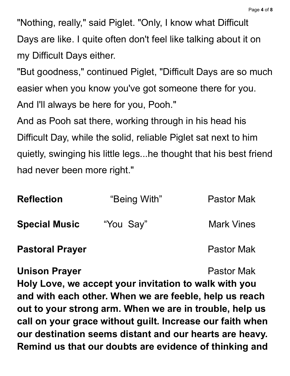"Nothing, really," said Piglet. "Only, I know what Difficult Days are like. I quite often don't feel like talking about it on my Difficult Days either.

"But goodness, " continued Piglet, "Difficult Days are so much easier when you know you've got someone there for you. And I'll always be here for you, Pooh."

And as Pooh sat there, working through in his head his Difficult Day, while the solid, reliable Piglet sat next to him quietly, swinging his little legs...he thought that his best friend had never been more right."

| <b>Reflection</b>      | "Being With" | <b>Pastor Mak</b> |
|------------------------|--------------|-------------------|
| <b>Special Music</b>   | "You Say"    | <b>Mark Vines</b> |
| <b>Pastoral Prayer</b> |              | <b>Pastor Mak</b> |

### **Unison Prayer Pastor Mak**

**Holy Love, we accept your invitation to walk with you and with each other. When we are feeble, help us reach out to your strong arm. When we are in trouble, help us call on your grace without guilt. Increase our faith when our destination seems distant and our hearts are heavy. Remind us that our doubts are evidence of thinking and**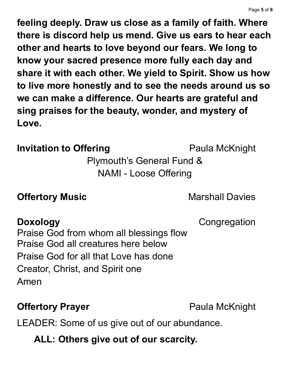**feeling deeply. Draw us close as a family of faith. Where there is discord help us mend. Give us ears to hear each other and hearts to love beyond our fears. We long to know your sacred presence more fully each day and share it with each other. We yield to Spirit. Show us how to live more honestly and to see the needs around us so we can make a difference. Our hearts are grateful and sing praises for the beauty, wonder, and mystery of Love.**

### **Invitation to Offering Paula McKnight**

Plymouth's General Fund & NAMI - Loose Offering

### **Offertory Music Marshall Davies**

**Doxology** Congregation

Praise God from whom all blessings flow Praise God all creatures here below Praise God for all that Love has done Creator, Christ, and Spirit one Amen

# **Offertory Prayer Paula McKnight**

LEADER: Some of us give out of our abundance.

# **ALL: Others give out of our scarcity.**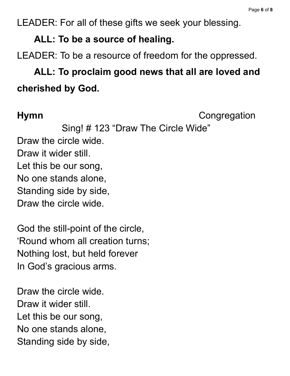LEADER: For all of these gifts we seek your blessing.

### **ALL: To be a source of healing.**

LEADER: To be a resource of freedom for the oppressed.

# **ALL: To proclaim good news that all are loved and cherished by God.**

**Hymn** Congregation

Sing! # 123 "Draw The Circle Wide" Draw the circle wide. Draw it wider still. Let this be our song, No one stands alone, Standing side by side, Draw the circle wide.

God the still-point of the circle, 'Round whom all creation turns; Nothing lost, but held forever In God's gracious arms.

Draw the circle wide. Draw it wider still. Let this be our song, No one stands alone, Standing side by side,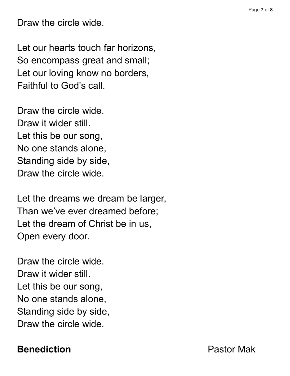Draw the circle wide.

Let our hearts touch far horizons, So encompass great and small; Let our loving know no borders, Faithful to God's call.

Draw the circle wide. Draw it wider still. Let this be our song, No one stands alone, Standing side by side, Draw the circle wide.

Let the dreams we dream be larger, Than we've ever dreamed before; Let the dream of Christ be in us, Open every door.

Draw the circle wide. Draw it wider still. Let this be our song, No one stands alone, Standing side by side, Draw the circle wide.

**Benediction Pastor Mak**